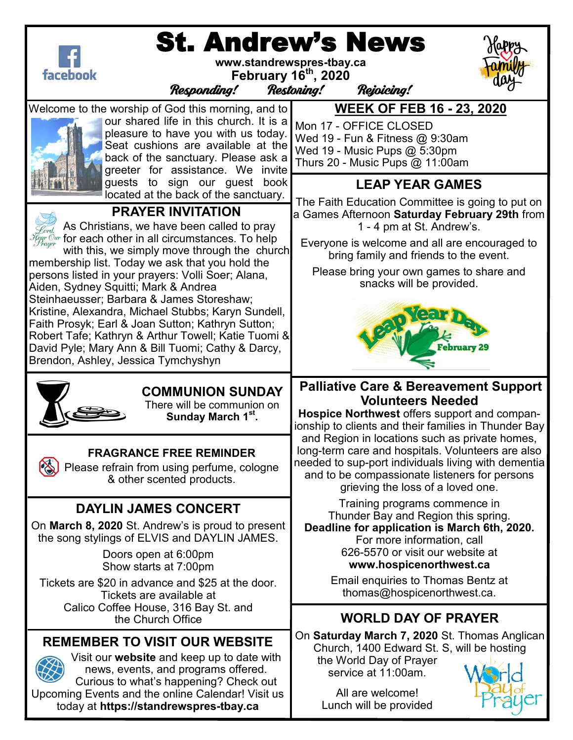